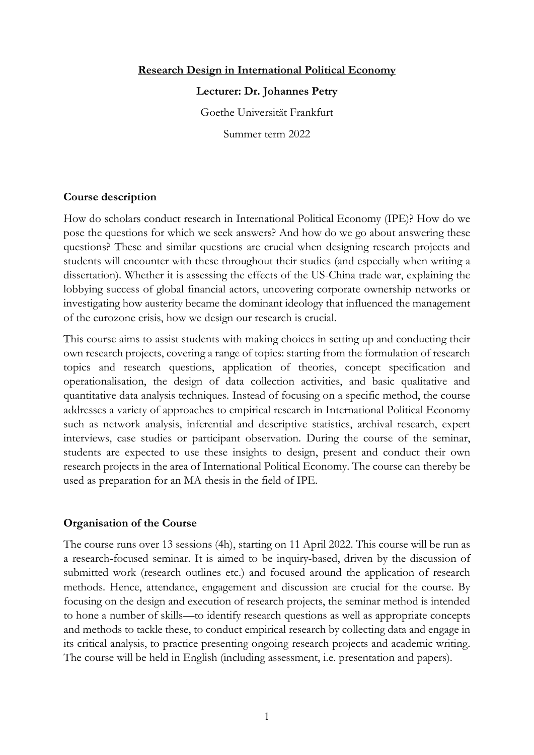# **Research Design in International Political Economy**

#### **Lecturer: Dr. Johannes Petry**

Goethe Universität Frankfurt

Summer term 2022

# **Course description**

How do scholars conduct research in International Political Economy (IPE)? How do we pose the questions for which we seek answers? And how do we go about answering these questions? These and similar questions are crucial when designing research projects and students will encounter with these throughout their studies (and especially when writing a dissertation). Whether it is assessing the effects of the US-China trade war, explaining the lobbying success of global financial actors, uncovering corporate ownership networks or investigating how austerity became the dominant ideology that influenced the management of the eurozone crisis, how we design our research is crucial.

This course aims to assist students with making choices in setting up and conducting their own research projects, covering a range of topics: starting from the formulation of research topics and research questions, application of theories, concept specification and operationalisation, the design of data collection activities, and basic qualitative and quantitative data analysis techniques. Instead of focusing on a specific method, the course addresses a variety of approaches to empirical research in International Political Economy such as network analysis, inferential and descriptive statistics, archival research, expert interviews, case studies or participant observation. During the course of the seminar, students are expected to use these insights to design, present and conduct their own research projects in the area of International Political Economy. The course can thereby be used as preparation for an MA thesis in the field of IPE.

#### **Organisation of the Course**

The course runs over 13 sessions (4h), starting on 11 April 2022. This course will be run as a research-focused seminar. It is aimed to be inquiry-based, driven by the discussion of submitted work (research outlines etc.) and focused around the application of research methods. Hence, attendance, engagement and discussion are crucial for the course. By focusing on the design and execution of research projects, the seminar method is intended to hone a number of skills—to identify research questions as well as appropriate concepts and methods to tackle these, to conduct empirical research by collecting data and engage in its critical analysis, to practice presenting ongoing research projects and academic writing. The course will be held in English (including assessment, i.e. presentation and papers).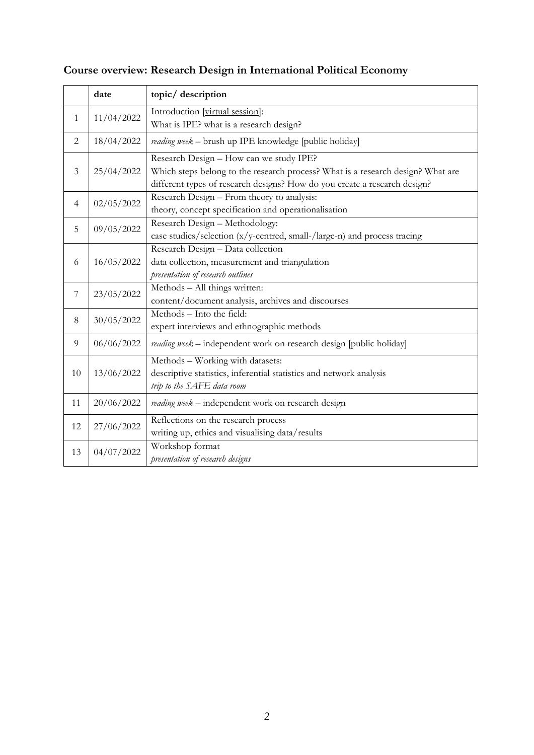|                | date       | topic/ description                                                              |
|----------------|------------|---------------------------------------------------------------------------------|
| $\mathbf{1}$   | 11/04/2022 | Introduction [virtual session]:                                                 |
|                |            | What is IPE? what is a research design?                                         |
| 2              | 18/04/2022 | reading week - brush up IPE knowledge [public holiday]                          |
| $\mathfrak{Z}$ | 25/04/2022 | Research Design - How can we study IPE?                                         |
|                |            | Which steps belong to the research process? What is a research design? What are |
|                |            | different types of research designs? How do you create a research design?       |
| $\overline{4}$ | 02/05/2022 | Research Design - From theory to analysis:                                      |
|                |            | theory, concept specification and operationalisation                            |
| 5              | 09/05/2022 | Research Design - Methodology:                                                  |
|                |            | case studies/selection (x/y-centred, small-/large-n) and process tracing        |
| 6              | 16/05/2022 | Research Design - Data collection                                               |
|                |            | data collection, measurement and triangulation                                  |
|                |            | presentation of research outlines                                               |
| $\overline{7}$ | 23/05/2022 | Methods - All things written:                                                   |
|                |            | content/document analysis, archives and discourses                              |
| 8              | 30/05/2022 | Methods - Into the field:                                                       |
|                |            | expert interviews and ethnographic methods                                      |
| 9              | 06/06/2022 | reading week - independent work on research design [public holiday]             |
| 10             | 13/06/2022 | Methods - Working with datasets:                                                |
|                |            | descriptive statistics, inferential statistics and network analysis             |
|                |            | trip to the SAFE data room                                                      |
| 11             | 20/06/2022 | reading week - independent work on research design                              |
| 12             | 27/06/2022 | Reflections on the research process                                             |
|                |            | writing up, ethics and visualising data/results                                 |
| 13             | 04/07/2022 | Workshop format                                                                 |
|                |            | presentation of research designs                                                |

# **Course overview: Research Design in International Political Economy**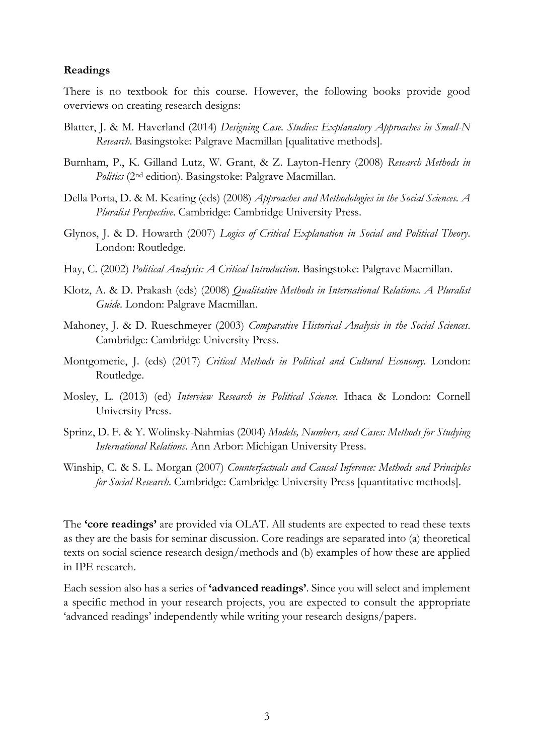# **Readings**

There is no textbook for this course. However, the following books provide good overviews on creating research designs:

- Blatter, J. & M. Haverland (2014) *Designing Case. Studies: Explanatory Approaches in Small-N Research*. Basingstoke: Palgrave Macmillan [qualitative methods].
- Burnham, P., K. Gilland Lutz, W. Grant, & Z. Layton-Henry (2008) *Research Methods in Politics* (2nd edition). Basingstoke: Palgrave Macmillan.
- Della Porta, D. & M. Keating (eds) (2008) *Approaches and Methodologies in the Social Sciences. A Pluralist Perspective*. Cambridge: Cambridge University Press.
- Glynos, J. & D. Howarth (2007) *Logics of Critical Explanation in Social and Political Theory*. London: Routledge.
- Hay, C. (2002) *Political Analysis: A Critical Introduction*. Basingstoke: Palgrave Macmillan.
- Klotz, A. & D. Prakash (eds) (2008) *Qualitative Methods in International Relations. A Pluralist Guide*. London: Palgrave Macmillan.
- Mahoney, J. & D. Rueschmeyer (2003) *Comparative Historical Analysis in the Social Sciences*. Cambridge: Cambridge University Press.
- Montgomerie, J. (eds) (2017) *Critical Methods in Political and Cultural Economy*. London: Routledge.
- Mosley, L. (2013) (ed) *Interview Research in Political Science*. Ithaca & London: Cornell University Press.
- Sprinz, D. F. & Y. Wolinsky-Nahmias (2004) *Models, Numbers, and Cases: Methods for Studying International Relations*. Ann Arbor: Michigan University Press.
- Winship, C. & S. L. Morgan (2007) *Counterfactuals and Causal Inference: Methods and Principles for Social Research*. Cambridge: Cambridge University Press [quantitative methods].

The **'core readings'** are provided via OLAT. All students are expected to read these texts as they are the basis for seminar discussion. Core readings are separated into (a) theoretical texts on social science research design/methods and (b) examples of how these are applied in IPE research.

Each session also has a series of **'advanced readings'**. Since you will select and implement a specific method in your research projects, you are expected to consult the appropriate 'advanced readings' independently while writing your research designs/papers.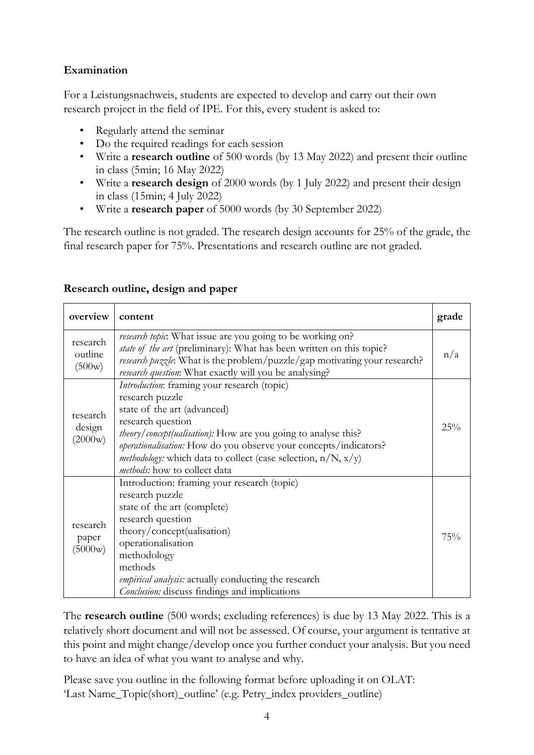# **Examination**

For a Leistungsnachweis, students are expected to develop and carry out their own research project in the field of IPE. For this, every student is asked to:

- Regularly attend the seminar
- Do the required readings for each session
- Write a **research outline** of 500 words (by 13 May 2022) and present their outline in class (5min; 16 May 2022)
- Write a **research design** of 2000 words (by 1 July 2022) and present their design in class (15min; 4 July 2022)
- Write a **research paper** of 5000 words (by 30 September 2022)

The research outline is not graded. The research design accounts for 25% of the grade, the final research paper for 75%. Presentations and research outline are not graded.

| overview                      | content                                                                                                                                                                                                                                                                                                                                                                         | grade |
|-------------------------------|---------------------------------------------------------------------------------------------------------------------------------------------------------------------------------------------------------------------------------------------------------------------------------------------------------------------------------------------------------------------------------|-------|
| research<br>outline<br>(500w) | research topic. What issue are you going to be working on?<br>state of the art (preliminary): What has been written on this topic?<br>research puzzle. What is the problem/puzzle/gap motivating your research?<br>research question: What exactly will you be analysing?                                                                                                       | n/a   |
| research<br>design<br>(2000w) | Introduction: framing your research (topic)<br>research puzzle<br>state of the art (advanced)<br>research question<br><i>theory/concept(ualisation)</i> : How are you going to analyse this?<br>operationalisation: How do you observe your concepts/indicators?<br><i>methodology</i> : which data to collect (case selection, $n/N$ , $x/y$ )<br>methods: how to collect data | 25%   |
| research<br>paper<br>(5000w)  | Introduction: framing your research (topic)<br>research puzzle<br>state of the art (complete)<br>research question<br>theory/concept(ualisation)<br>operationalisation<br>methodology<br>methods<br>empirical analysis: actually conducting the research<br>Conclusion: discuss findings and implications                                                                       | 75%   |

# **Research outline, design and paper**

The **research outline** (500 words; excluding references) is due by 13 May 2022. This is a relatively short document and will not be assessed. Of course, your argument is tentative at this point and might change/develop once you further conduct your analysis. But you need to have an idea of what you want to analyse and why.

Please save you outline in the following format before uploading it on OLAT: 'Last Name\_Topic(short)\_outline' (e.g. Petry\_index providers\_outline)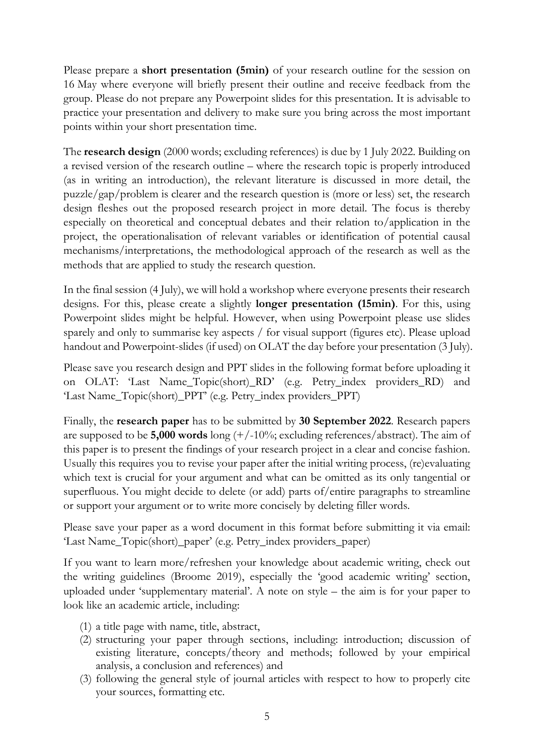Please prepare a **short presentation (5min)** of your research outline for the session on 16 May where everyone will briefly present their outline and receive feedback from the group. Please do not prepare any Powerpoint slides for this presentation. It is advisable to practice your presentation and delivery to make sure you bring across the most important points within your short presentation time.

The **research design** (2000 words; excluding references) is due by 1 July 2022. Building on a revised version of the research outline – where the research topic is properly introduced (as in writing an introduction), the relevant literature is discussed in more detail, the puzzle/gap/problem is clearer and the research question is (more or less) set, the research design fleshes out the proposed research project in more detail. The focus is thereby especially on theoretical and conceptual debates and their relation to/application in the project, the operationalisation of relevant variables or identification of potential causal mechanisms/interpretations, the methodological approach of the research as well as the methods that are applied to study the research question.

In the final session (4 July), we will hold a workshop where everyone presents their research designs. For this, please create a slightly **longer presentation (15min)**. For this, using Powerpoint slides might be helpful. However, when using Powerpoint please use slides sparely and only to summarise key aspects / for visual support (figures etc). Please upload handout and Powerpoint-slides (if used) on OLAT the day before your presentation (3 July).

Please save you research design and PPT slides in the following format before uploading it on OLAT: 'Last Name\_Topic(short)\_RD' (e.g. Petry\_index providers\_RD) and 'Last Name\_Topic(short)\_PPT' (e.g. Petry\_index providers\_PPT)

Finally, the **research paper** has to be submitted by **30 September 2022**. Research papers are supposed to be **5,000 words** long (+/-10%; excluding references/abstract). The aim of this paper is to present the findings of your research project in a clear and concise fashion. Usually this requires you to revise your paper after the initial writing process, (re)evaluating which text is crucial for your argument and what can be omitted as its only tangential or superfluous. You might decide to delete (or add) parts of/entire paragraphs to streamline or support your argument or to write more concisely by deleting filler words.

Please save your paper as a word document in this format before submitting it via email: 'Last Name\_Topic(short)\_paper' (e.g. Petry\_index providers\_paper)

If you want to learn more/refreshen your knowledge about academic writing, check out the writing guidelines (Broome 2019), especially the 'good academic writing' section, uploaded under 'supplementary material'. A note on style – the aim is for your paper to look like an academic article, including:

- (1) a title page with name, title, abstract,
- (2) structuring your paper through sections, including: introduction; discussion of existing literature, concepts/theory and methods; followed by your empirical analysis, a conclusion and references) and
- (3) following the general style of journal articles with respect to how to properly cite your sources, formatting etc.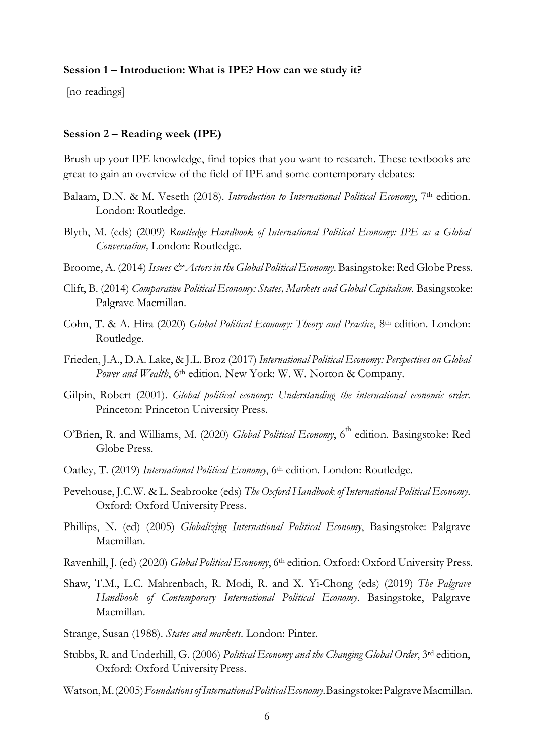#### **Session 1 – Introduction: What is IPE? How can we study it?**

[no readings]

#### **Session 2 – Reading week (IPE)**

Brush up your IPE knowledge, find topics that you want to research. These textbooks are great to gain an overview of the field of IPE and some contemporary debates:

- Balaam, D.N. & M. Veseth (2018). *Introduction to International Political Economy*, 7<sup>th</sup> edition. London: Routledge.
- Blyth, M. (eds) (2009) *Routledge Handbook of International Political Economy: IPE as a Global Conversation,* London: Routledge.
- Broome, A. (2014) *Issues & Actors in the Global Political Economy*. Basingstoke: Red Globe Press.
- Clift, B. (2014) *Comparative Political Economy: States, Markets and Global Capitalism*. Basingstoke: Palgrave Macmillan.
- Cohn, T. & A. Hira (2020) *Global Political Economy: Theory and Practice*, 8th edition. London: Routledge.
- Frieden, J.A., D.A. Lake, & J.L. Broz (2017) *International Political Economy: Perspectives on Global*  Power and Wealth, 6<sup>th</sup> edition. New York: W. W. Norton & Company.
- Gilpin, Robert (2001). *Global political economy: Understanding the international economic order*. Princeton: Princeton University Press.
- O'Brien, R. and Williams, M. (2020) *Global Political Economy*, 6<sup>th</sup> edition. Basingstoke: Red Globe Press.
- Oatley, T. (2019) *International Political Economy*, 6th edition. London: Routledge.
- Pevehouse, J.C.W. & L. Seabrooke (eds) *The Oxford Handbook of International Political Economy*. Oxford: Oxford University Press.
- Phillips, N. (ed) (2005) *Globalizing International Political Economy*, Basingstoke: Palgrave Macmillan.
- Ravenhill, J. (ed) (2020) *Global Political Economy*, 6<sup>th</sup> edition. Oxford: Oxford University Press.
- Shaw, T.M., L.C. Mahrenbach, R. Modi, R. and X. Yi-Chong (eds) (2019) *The Palgrave Handbook of Contemporary International Political Economy*. Basingstoke, Palgrave Macmillan.
- Strange, Susan (1988). *States and markets*. London: Pinter.
- Stubbs, R. and Underhill, G. (2006) *Political Economy and the Changing Global Order*, 3rd edition, Oxford: Oxford University Press.
- Watson,M.(2005)*FoundationsofInternational PoliticalEconomy*.Basingstoke:PalgraveMacmillan.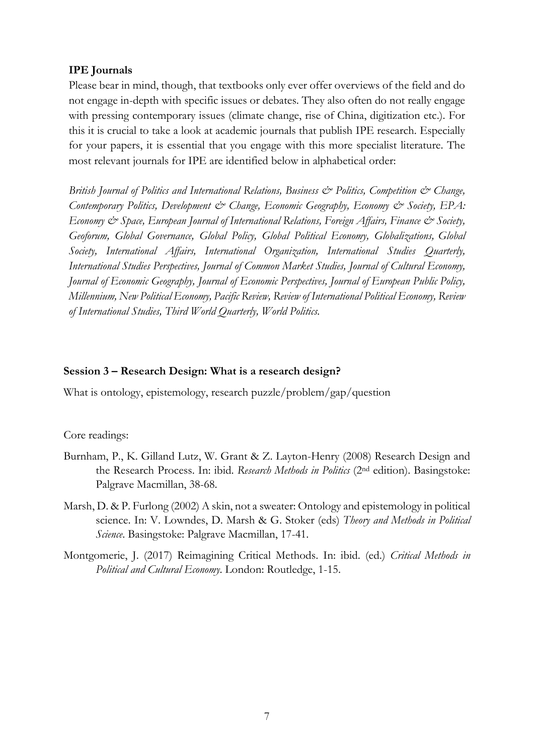# **IPE Journals**

Please bear in mind, though, that textbooks only ever offer overviews of the field and do not engage in-depth with specific issues or debates. They also often do not really engage with pressing contemporary issues (climate change, rise of China, digitization etc.). For this it is crucial to take a look at academic journals that publish IPE research. Especially for your papers, it is essential that you engage with this more specialist literature. The most relevant journals for IPE are identified below in alphabetical order:

*British Journal of Politics and International Relations, Business & Politics, Competition & Change, Contemporary Politics, Development & Change, Economic Geography, Economy & Society, EPA: Economy & Space, European Journal of International Relations, Foreign Affairs, Finance & Society, Geoforum, Global Governance, Global Policy, Global Political Economy, Globalizations, Global Society, International Affairs, International Organization, International Studies Quarterly, International Studies Perspectives, Journal of Common Market Studies, Journal of Cultural Economy, Journal of Economic Geography, Journal of Economic Perspectives, Journal of European Public Policy, Millennium, New Political Economy, Pacific Review, Review of International Political Economy, Review of International Studies, Third World Quarterly, World Politics.*

# **Session 3 – Research Design: What is a research design?**

What is ontology, epistemology, research puzzle/problem/gap/question

# Core readings:

- Burnham, P., K. Gilland Lutz, W. Grant & Z. Layton-Henry (2008) Research Design and the Research Process. In: ibid. *Research Methods in Politics* (2nd edition). Basingstoke: Palgrave Macmillan, 38-68.
- Marsh, D. & P. Furlong (2002) A skin, not a sweater: Ontology and epistemology in political science. In: V. Lowndes, D. Marsh & G. Stoker (eds) *Theory and Methods in Political Science*. Basingstoke: Palgrave Macmillan, 17-41.
- Montgomerie, J. (2017) Reimagining Critical Methods. In: ibid. (ed.) *Critical Methods in Political and Cultural Economy*. London: Routledge, 1-15.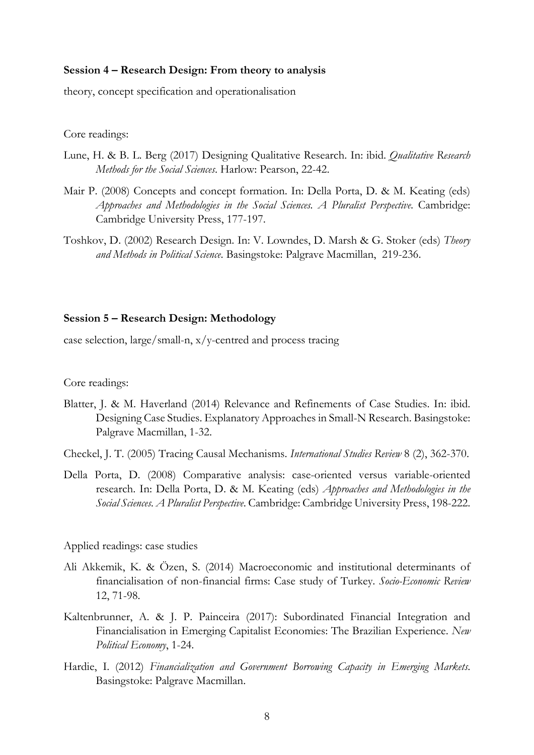# **Session 4 – Research Design: From theory to analysis**

theory, concept specification and operationalisation

Core readings:

- Lune, H. & B. L. Berg (2017) Designing Qualitative Research. In: ibid. *Qualitative Research Methods for the Social Sciences*. Harlow: Pearson, 22-42.
- Mair P. (2008) Concepts and concept formation. In: Della Porta, D. & M. Keating (eds) *Approaches and Methodologies in the Social Sciences. A Pluralist Perspective*. Cambridge: Cambridge University Press, 177-197.
- Toshkov, D. (2002) Research Design. In: V. Lowndes, D. Marsh & G. Stoker (eds) *Theory and Methods in Political Science*. Basingstoke: Palgrave Macmillan, 219-236.

# **Session 5 – Research Design: Methodology**

case selection, large/small-n, x/y-centred and process tracing

Core readings:

Blatter, J. & M. Haverland (2014) Relevance and Refinements of Case Studies. In: ibid. Designing Case Studies. Explanatory Approaches in Small-N Research. Basingstoke: Palgrave Macmillan, 1-32.

Checkel, J. T. (2005) Tracing Causal Mechanisms. *International Studies Review* 8 (2), 362-370.

Della Porta, D. (2008) Comparative analysis: case-oriented versus variable-oriented research. In: Della Porta, D. & M. Keating (eds) *Approaches and Methodologies in the Social Sciences. A Pluralist Perspective*. Cambridge: Cambridge University Press, 198-222.

Applied readings: case studies

- Ali Akkemik, K. & Özen, S. (2014) Macroeconomic and institutional determinants of financialisation of non-financial firms: Case study of Turkey. *Socio-Economic Review* 12, 71-98.
- Kaltenbrunner, A. & J. P. Painceira (2017): Subordinated Financial Integration and Financialisation in Emerging Capitalist Economies: The Brazilian Experience. *New Political Economy*, 1-24.
- Hardie, I. (2012) *Financialization and Government Borrowing Capacity in Emerging Markets*. Basingstoke: Palgrave Macmillan.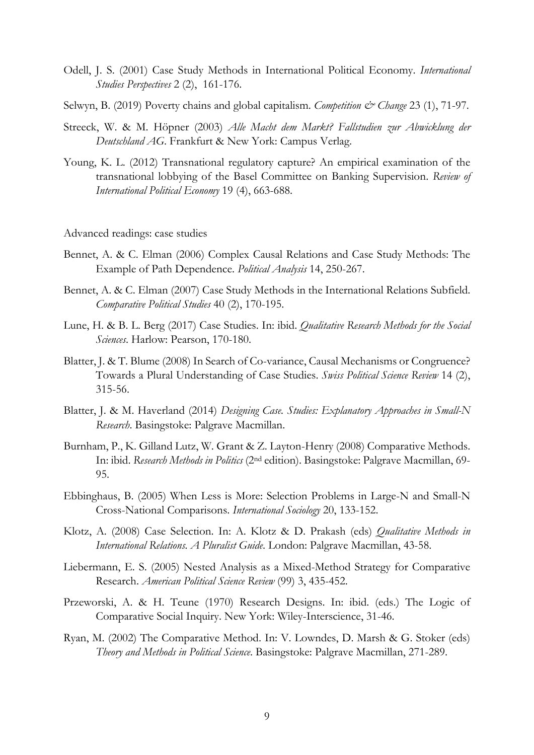- Odell, J. S. (2001) Case Study Methods in International Political Economy. *International Studies Perspectives* 2 (2), 161-176.
- Selwyn, B. (2019) Poverty chains and global capitalism. *Competition & Change* 23 (1), 71-97.
- Streeck, W. & M. Höpner (2003) *Alle Macht dem Markt? Fallstudien zur Abwicklung der Deutschland AG*. Frankfurt & New York: Campus Verlag.
- Young, K. L. (2012) Transnational regulatory capture? An empirical examination of the transnational lobbying of the Basel Committee on Banking Supervision. *Review of International Political Economy* 19 (4), 663-688.

Advanced readings: case studies

- Bennet, A. & C. Elman (2006) Complex Causal Relations and Case Study Methods: The Example of Path Dependence. *Political Analysis* 14, 250-267.
- Bennet, A. & C. Elman (2007) Case Study Methods in the International Relations Subfield. *Comparative Political Studies* 40 (2), 170-195.
- Lune, H. & B. L. Berg (2017) Case Studies. In: ibid. *Qualitative Research Methods for the Social Sciences*. Harlow: Pearson, 170-180.
- Blatter, J. & T. Blume (2008) In Search of Co-variance, Causal Mechanisms or Congruence? Towards a Plural Understanding of Case Studies. *Swiss Political Science Review* 14 (2), 315-56.
- Blatter, J. & M. Haverland (2014) *Designing Case. Studies: Explanatory Approaches in Small-N Research*. Basingstoke: Palgrave Macmillan.
- Burnham, P., K. Gilland Lutz, W. Grant & Z. Layton-Henry (2008) Comparative Methods. In: ibid. *Research Methods in Politics* (2nd edition). Basingstoke: Palgrave Macmillan, 69- 95.
- Ebbinghaus, B. (2005) When Less is More: Selection Problems in Large-N and Small-N Cross-National Comparisons. *International Sociology* 20, 133-152.
- Klotz, A. (2008) Case Selection. In: A. Klotz & D. Prakash (eds) *Qualitative Methods in International Relations. A Pluralist Guide*. London: Palgrave Macmillan, 43-58.
- Liebermann, E. S. (2005) Nested Analysis as a Mixed-Method Strategy for Comparative Research. *American Political Science Review* (99) 3, 435-452.
- Przeworski, A. & H. Teune (1970) Research Designs. In: ibid. (eds.) The Logic of Comparative Social Inquiry. New York: Wiley-Interscience, 31-46.
- Ryan, M. (2002) The Comparative Method. In: V. Lowndes, D. Marsh & G. Stoker (eds) *Theory and Methods in Political Science*. Basingstoke: Palgrave Macmillan, 271-289.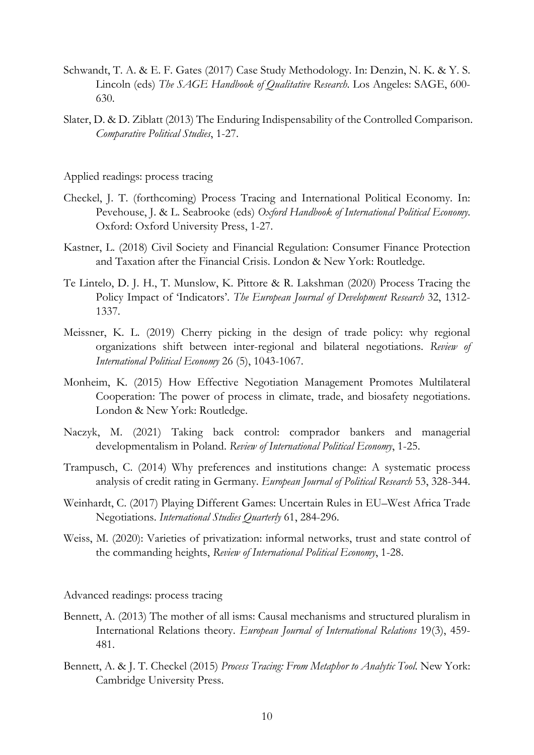- Schwandt, T. A. & E. F. Gates (2017) Case Study Methodology. In: Denzin, N. K. & Y. S. Lincoln (eds) *The SAGE Handbook of Qualitative Research*. Los Angeles: SAGE, 600- 630.
- Slater, D. & D. Ziblatt (2013) The Enduring Indispensability of the Controlled Comparison. *Comparative Political Studies*, 1-27.

Applied readings: process tracing

- Checkel, J. T. (forthcoming) Process Tracing and International Political Economy. In: Pevehouse, J. & L. Seabrooke (eds) *Oxford Handbook of International Political Economy*. Oxford: Oxford University Press, 1-27.
- Kastner, L. (2018) Civil Society and Financial Regulation: Consumer Finance Protection and Taxation after the Financial Crisis. London & New York: Routledge.
- Te Lintelo, D. J. H., T. Munslow, K. Pittore & R. Lakshman (2020) Process Tracing the Policy Impact of 'Indicators'. *The European Journal of Development Research* 32, 1312- 1337.
- Meissner, K. L. (2019) Cherry picking in the design of trade policy: why regional organizations shift between inter-regional and bilateral negotiations. *Review of International Political Economy* 26 (5), 1043-1067.
- Monheim, K. (2015) How Effective Negotiation Management Promotes Multilateral Cooperation: The power of process in climate, trade, and biosafety negotiations. London & New York: Routledge.
- Naczyk, M. (2021) Taking back control: comprador bankers and managerial developmentalism in Poland. *Review of International Political Economy*, 1-25.
- Trampusch, C. (2014) Why preferences and institutions change: A systematic process analysis of credit rating in Germany. *European Journal of Political Research* 53, 328-344.
- Weinhardt, C. (2017) Playing Different Games: Uncertain Rules in EU–West Africa Trade Negotiations. *International Studies Quarterly* 61, 284-296.
- Weiss, M. (2020): Varieties of privatization: informal networks, trust and state control of the commanding heights, *Review of International Political Economy*, 1-28.

Advanced readings: process tracing

- Bennett, A. (2013) The mother of all isms: Causal mechanisms and structured pluralism in International Relations theory. *European Journal of International Relations* 19(3), 459- 481.
- Bennett, A. & J. T. Checkel (2015) *Process Tracing: From Metaphor to Analytic Tool*. New York: Cambridge University Press.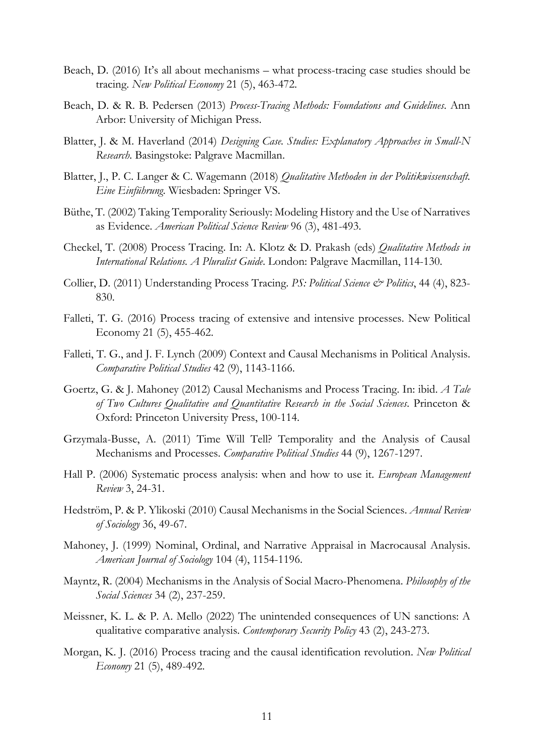- Beach, D. (2016) It's all about mechanisms what process-tracing case studies should be tracing. *New Political Economy* 21 (5), 463-472.
- Beach, D. & R. B. Pedersen (2013) *Process-Tracing Methods: Foundations and Guidelines*. Ann Arbor: University of Michigan Press.
- Blatter, J. & M. Haverland (2014) *Designing Case. Studies: Explanatory Approaches in Small-N Research*. Basingstoke: Palgrave Macmillan.
- Blatter, J., P. C. Langer & C. Wagemann (2018) *Qualitative Methoden in der Politikwissenschaft. Eine Einführung*. Wiesbaden: Springer VS.
- Büthe, T. (2002) Taking Temporality Seriously: Modeling History and the Use of Narratives as Evidence. *American Political Science Review* 96 (3), 481-493.
- Checkel, T. (2008) Process Tracing. In: A. Klotz & D. Prakash (eds) *Qualitative Methods in International Relations. A Pluralist Guide*. London: Palgrave Macmillan, 114-130.
- Collier, D. (2011) Understanding Process Tracing. *PS: Political Science & Politics*, 44 (4), 823- 830.
- Falleti, T. G. (2016) Process tracing of extensive and intensive processes. New Political Economy 21 (5), 455-462.
- Falleti, T. G., and J. F. Lynch (2009) Context and Causal Mechanisms in Political Analysis. *Comparative Political Studies* 42 (9), 1143-1166.
- Goertz, G. & J. Mahoney (2012) Causal Mechanisms and Process Tracing. In: ibid. *A Tale of Two Cultures Qualitative and Quantitative Research in the Social Sciences*. Princeton & Oxford: Princeton University Press, 100-114.
- Grzymala-Busse, A. (2011) Time Will Tell? Temporality and the Analysis of Causal Mechanisms and Processes. *Comparative Political Studies* 44 (9), 1267-1297.
- Hall P. (2006) Systematic process analysis: when and how to use it. *European Management Review* 3, 24-31.
- Hedström, P. & P. Ylikoski (2010) Causal Mechanisms in the Social Sciences. *Annual Review of Sociology* 36, 49-67.
- Mahoney, J. (1999) Nominal, Ordinal, and Narrative Appraisal in Macrocausal Analysis. *American Journal of Sociology* 104 (4), 1154-1196.
- Mayntz, R. (2004) Mechanisms in the Analysis of Social Macro-Phenomena. *Philosophy of the Social Sciences* 34 (2), 237-259.
- Meissner, K. L. & P. A. Mello (2022) The unintended consequences of UN sanctions: A qualitative comparative analysis. *Contemporary Security Policy* 43 (2), 243-273.
- Morgan, K. J. (2016) Process tracing and the causal identification revolution. *New Political Economy* 21 (5), 489-492.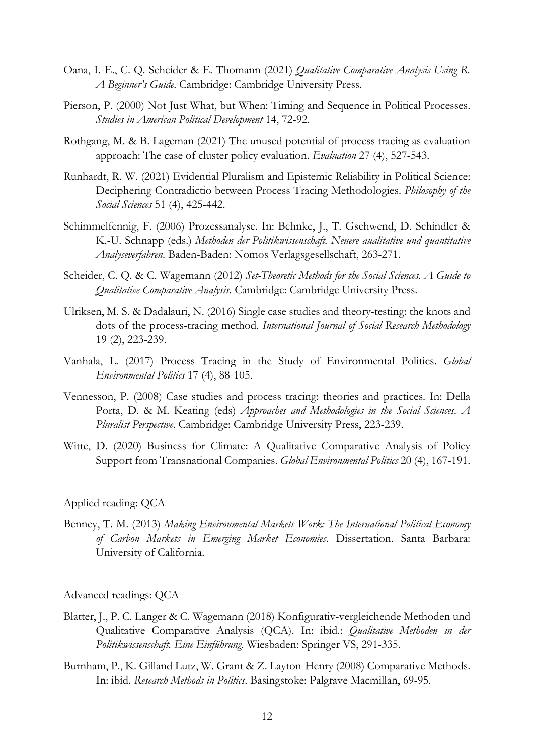- Oana, I.-E., C. Q. Scheider & E. Thomann (2021) *Qualitative Comparative Analysis Using R. A Beginner's Guide*. Cambridge: Cambridge University Press.
- Pierson, P. (2000) Not Just What, but When: Timing and Sequence in Political Processes. *Studies in American Political Development* 14, 72-92.
- Rothgang, M. & B. Lageman (2021) The unused potential of process tracing as evaluation approach: The case of cluster policy evaluation. *Evaluation* 27 (4), 527-543.
- Runhardt, R. W. (2021) Evidential Pluralism and Epistemic Reliability in Political Science: Deciphering Contradictio between Process Tracing Methodologies. *Philosophy of the Social Sciences* 51 (4), 425-442.
- Schimmelfennig, F. (2006) Prozessanalyse. In: Behnke, J., T. Gschwend, D. Schindler & K.-U. Schnapp (eds.) *Methoden der Politikwissenschaft. Neuere aualitative und quantitative Analyseverfahren*. Baden-Baden: Nomos Verlagsgesellschaft, 263-271.
- Scheider, C. Q. & C. Wagemann (2012) *Set-Theoretic Methods for the Social Sciences. A Guide to Qualitative Comparative Analysis*. Cambridge: Cambridge University Press.
- Ulriksen, M. S. & Dadalauri, N. (2016) Single case studies and theory-testing: the knots and dots of the process-tracing method. *International Journal of Social Research Methodology* 19 (2), 223-239.
- Vanhala, L. (2017) Process Tracing in the Study of Environmental Politics. *Global Environmental Politics* 17 (4), 88-105.
- Vennesson, P. (2008) Case studies and process tracing: theories and practices. In: Della Porta, D. & M. Keating (eds) *Approaches and Methodologies in the Social Sciences. A Pluralist Perspective*. Cambridge: Cambridge University Press, 223-239.
- Witte, D. (2020) Business for Climate: A Qualitative Comparative Analysis of Policy Support from Transnational Companies. *Global Environmental Politics* 20 (4), 167-191.

Applied reading: QCA

Benney, T. M. (2013) *Making Environmental Markets Work: The International Political Economy of Carbon Markets in Emerging Market Economies*. Dissertation. Santa Barbara: University of California.

Advanced readings: QCA

- Blatter, J., P. C. Langer & C. Wagemann (2018) Konfigurativ-vergleichende Methoden und Qualitative Comparative Analysis (QCA). In: ibid.: *Qualitative Methoden in der Politikwissenschaft. Eine Einführung*. Wiesbaden: Springer VS, 291-335.
- Burnham, P., K. Gilland Lutz, W. Grant & Z. Layton-Henry (2008) Comparative Methods. In: ibid. *Research Methods in Politics*. Basingstoke: Palgrave Macmillan, 69-95.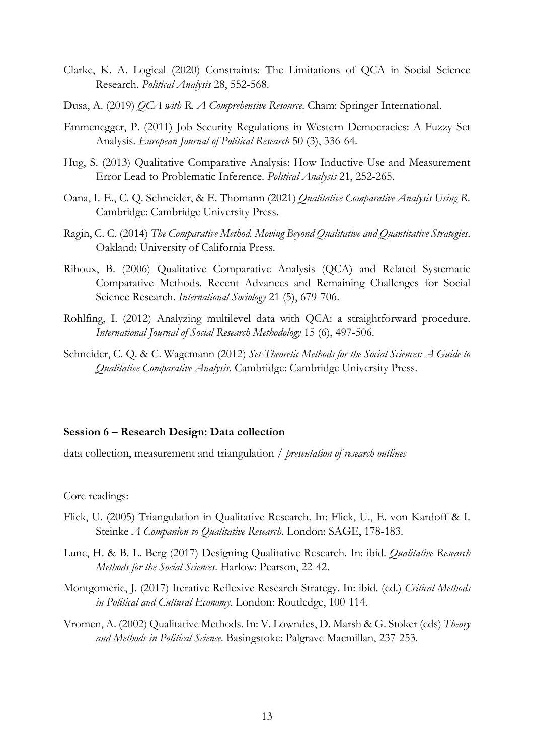- Clarke, K. A. Logical (2020) Constraints: The Limitations of QCA in Social Science Research. *Political Analysis* 28, 552-568.
- Dusa, A. (2019) *QCA with R. A Comprehensive Resource*. Cham: Springer International.
- Emmenegger, P. (2011) Job Security Regulations in Western Democracies: A Fuzzy Set Analysis. *European Journal of Political Research* 50 (3), 336-64.
- Hug, S. (2013) Qualitative Comparative Analysis: How Inductive Use and Measurement Error Lead to Problematic Inference. *Political Analysis* 21, 252-265.
- Oana, I.-E., C. Q. Schneider, & E. Thomann (2021) *Qualitative Comparative Analysis Using R.*  Cambridge: Cambridge University Press.
- Ragin, C. C. (2014) *The Comparative Method. Moving Beyond Qualitative and Quantitative Strategies*. Oakland: University of California Press.
- Rihoux, B. (2006) Qualitative Comparative Analysis (QCA) and Related Systematic Comparative Methods. Recent Advances and Remaining Challenges for Social Science Research. *International Sociology* 21 (5), 679-706.
- Rohlfing, I. (2012) Analyzing multilevel data with QCA: a straightforward procedure. *International Journal of Social Research Methodology* 15 (6), 497-506.
- Schneider, C. Q. & C. Wagemann (2012) *Set-Theoretic Methods for the Social Sciences: A Guide to Qualitative Comparative Analysis*. Cambridge: Cambridge University Press.

#### **Session 6 – Research Design: Data collection**

data collection, measurement and triangulation / *presentation of research outlines*

Core readings:

- Flick, U. (2005) Triangulation in Qualitative Research. In: Flick, U., E. von Kardoff & I. Steinke *A Companion to Qualitative Research*. London: SAGE, 178-183.
- Lune, H. & B. L. Berg (2017) Designing Qualitative Research. In: ibid. *Qualitative Research Methods for the Social Sciences*. Harlow: Pearson, 22-42.
- Montgomerie, J. (2017) Iterative Reflexive Research Strategy. In: ibid. (ed.) *Critical Methods in Political and Cultural Economy*. London: Routledge, 100-114.
- Vromen, A. (2002) Qualitative Methods. In: V. Lowndes, D. Marsh & G. Stoker (eds) *Theory and Methods in Political Science*. Basingstoke: Palgrave Macmillan, 237-253.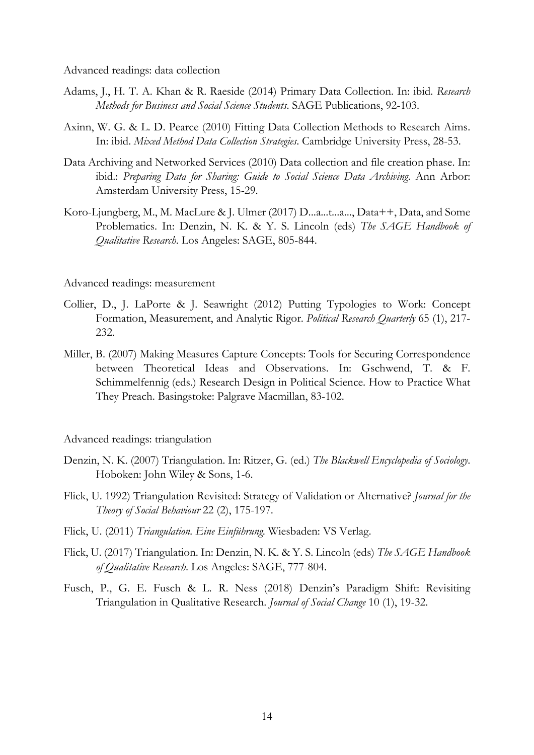Advanced readings: data collection

- Adams, J., H. T. A. Khan & R. Raeside (2014) Primary Data Collection. In: ibid. *Research Methods for Business and Social Science Students*. SAGE Publications, 92-103.
- Axinn, W. G. & L. D. Pearce (2010) Fitting Data Collection Methods to Research Aims. In: ibid. *Mixed Method Data Collection Strategies*. Cambridge University Press, 28-53.
- Data Archiving and Networked Services (2010) Data collection and file creation phase. In: ibid.: *Preparing Data for Sharing: Guide to Social Science Data Archiving*. Ann Arbor: Amsterdam University Press, 15-29.
- Koro-Ljungberg, M., M. MacLure & J. Ulmer (2017) D...a...t...a..., Data++, Data, and Some Problematics. In: Denzin, N. K. & Y. S. Lincoln (eds) *The SAGE Handbook of Qualitative Research*. Los Angeles: SAGE, 805-844.

Advanced readings: measurement

- Collier, D., J. LaPorte & J. Seawright (2012) Putting Typologies to Work: Concept Formation, Measurement, and Analytic Rigor. *Political Research Quarterly* 65 (1), 217- 232.
- Miller, B. (2007) Making Measures Capture Concepts: Tools for Securing Correspondence between Theoretical Ideas and Observations. In: Gschwend, T. & F. Schimmelfennig (eds.) Research Design in Political Science. How to Practice What They Preach. Basingstoke: Palgrave Macmillan, 83-102.

#### Advanced readings: triangulation

- Denzin, N. K. (2007) Triangulation. In: Ritzer, G. (ed.) *The Blackwell Encyclopedia of Sociology*. Hoboken: John Wiley & Sons, 1-6.
- Flick, U. 1992) Triangulation Revisited: Strategy of Validation or Alternative? *Journal for the Theory of Social Behaviour* 22 (2), 175-197.
- Flick, U. (2011) *Triangulation. Eine Einführung*. Wiesbaden: VS Verlag.
- Flick, U. (2017) Triangulation. In: Denzin, N. K. & Y. S. Lincoln (eds) *The SAGE Handbook of Qualitative Research*. Los Angeles: SAGE, 777-804.
- Fusch, P., G. E. Fusch & L. R. Ness (2018) Denzin's Paradigm Shift: Revisiting Triangulation in Qualitative Research. *Journal of Social Change* 10 (1), 19-32.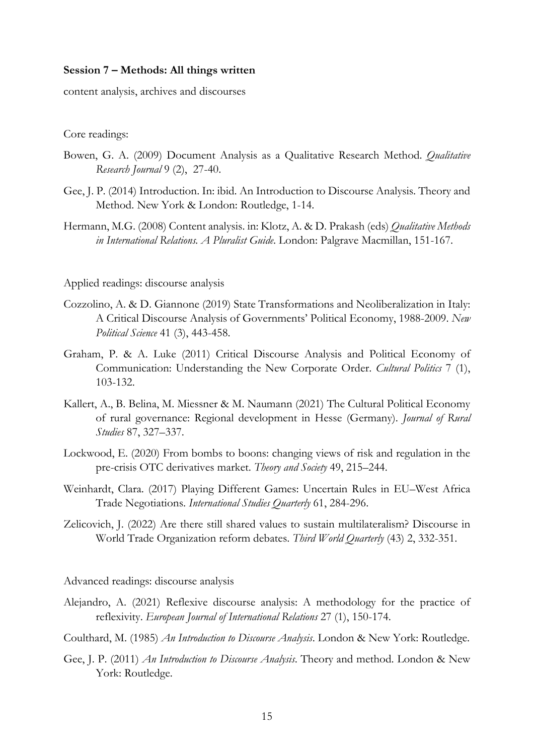# **Session 7 – Methods: All things written**

content analysis, archives and discourses

Core readings:

- Bowen, G. A. (2009) Document Analysis as a Qualitative Research Method. *Qualitative Research Journal* 9 (2), 27-40.
- Gee, J. P. (2014) Introduction. In: ibid. An Introduction to Discourse Analysis. Theory and Method. New York & London: Routledge, 1-14.
- Hermann, M.G. (2008) Content analysis. in: Klotz, A. & D. Prakash (eds) *Qualitative Methods in International Relations. A Pluralist Guide*. London: Palgrave Macmillan, 151-167.

Applied readings: discourse analysis

- Cozzolino, A. & D. Giannone (2019) State Transformations and Neoliberalization in Italy: A Critical Discourse Analysis of Governments' Political Economy, 1988-2009. *New Political Science* 41 (3), 443-458.
- Graham, P. & A. Luke (2011) Critical Discourse Analysis and Political Economy of Communication: Understanding the New Corporate Order. *Cultural Politics* 7 (1), 103-132.
- Kallert, A., B. Belina, M. Miessner & M. Naumann (2021) The Cultural Political Economy of rural governance: Regional development in Hesse (Germany). *Journal of Rural Studies* 87, 327–337.
- Lockwood, E. (2020) From bombs to boons: changing views of risk and regulation in the pre-crisis OTC derivatives market. *Theory and Society* 49, 215–244.
- Weinhardt, Clara. (2017) Playing Different Games: Uncertain Rules in EU–West Africa Trade Negotiations. *International Studies Quarterly* 61, 284-296.
- Zelicovich, J. (2022) Are there still shared values to sustain multilateralism? Discourse in World Trade Organization reform debates. *Third World Quarterly* (43) 2, 332-351.

Advanced readings: discourse analysis

- Alejandro, A. (2021) Reflexive discourse analysis: A methodology for the practice of reflexivity. *European Journal of International Relations* 27 (1), 150-174.
- Coulthard, M. (1985) *An Introduction to Discourse Analysis*. London & New York: Routledge.
- Gee, J. P. (2011) *An Introduction to Discourse Analysis*. Theory and method. London & New York: Routledge.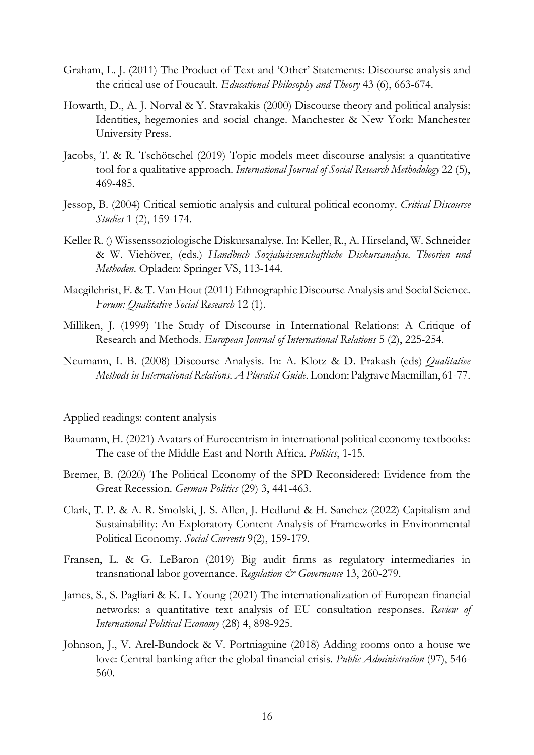- Graham, L. J. (2011) The Product of Text and 'Other' Statements: Discourse analysis and the critical use of Foucault. *Educational Philosophy and Theory* 43 (6), 663-674.
- Howarth, D., A. J. Norval & Y. Stavrakakis (2000) Discourse theory and political analysis: Identities, hegemonies and social change. Manchester & New York: Manchester University Press.
- Jacobs, T. & R. Tschötschel (2019) Topic models meet discourse analysis: a quantitative tool for a qualitative approach. *International Journal of Social Research Methodology* 22 (5), 469-485.
- Jessop, B. (2004) Critical semiotic analysis and cultural political economy. *Critical Discourse Studies* 1 (2), 159-174.
- Keller R. () Wissenssoziologische Diskursanalyse. In: Keller, R., A. Hirseland, W. Schneider & W. Viehöver, (eds.) *Handbuch Sozialwissenschaftliche Diskursanalyse. Theorien und Methoden*. Opladen: Springer VS, 113-144.
- Macgilchrist, F. & T. Van Hout (2011) Ethnographic Discourse Analysis and Social Science. *Forum: Qualitative Social Research* 12 (1).
- Milliken, J. (1999) The Study of Discourse in International Relations: A Critique of Research and Methods. *European Journal of International Relations* 5 (2), 225-254.
- Neumann, I. B. (2008) Discourse Analysis. In: A. Klotz & D. Prakash (eds) *Qualitative Methods in International Relations. A Pluralist Guide*. London: Palgrave Macmillan, 61-77.

#### Applied readings: content analysis

- Baumann, H. (2021) Avatars of Eurocentrism in international political economy textbooks: The case of the Middle East and North Africa. *Politics*, 1-15.
- Bremer, B. (2020) The Political Economy of the SPD Reconsidered: Evidence from the Great Recession. *German Politics* (29) 3, 441-463.
- Clark, T. P. & A. R. Smolski, J. S. Allen, J. Hedlund & H. Sanchez (2022) Capitalism and Sustainability: An Exploratory Content Analysis of Frameworks in Environmental Political Economy. *Social Currents* 9(2), 159-179.
- Fransen, L. & G. LeBaron (2019) Big audit firms as regulatory intermediaries in transnational labor governance. *Regulation & Governance* 13, 260-279.
- James, S., S. Pagliari & K. L. Young (2021) The internationalization of European financial networks: a quantitative text analysis of EU consultation responses. *Review of International Political Economy* (28) 4, 898-925.
- Johnson, J., V. Arel-Bundock & V. Portniaguine (2018) Adding rooms onto a house we love: Central banking after the global financial crisis. *Public Administration* (97), 546- 560.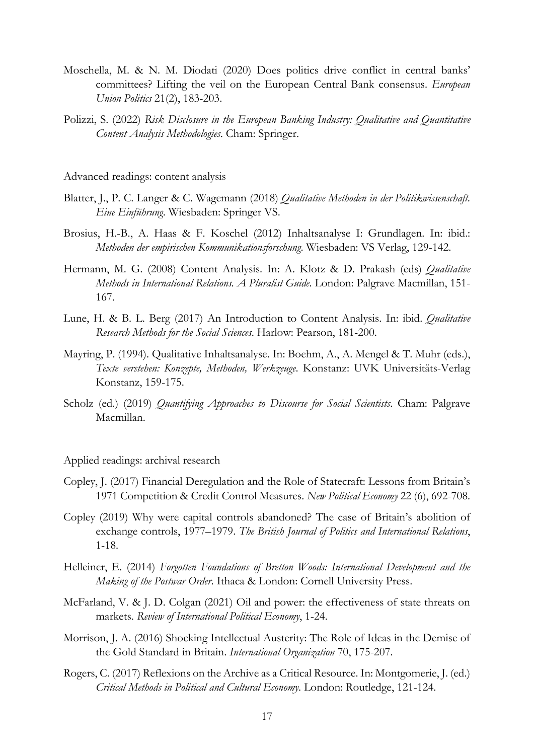- Moschella, M. & N. M. Diodati (2020) Does politics drive conflict in central banks' committees? Lifting the veil on the European Central Bank consensus. *European Union Politics* 21(2), 183-203.
- Polizzi, S. (2022) *Risk Disclosure in the European Banking Industry: Qualitative and Quantitative Content Analysis Methodologies*. Cham: Springer.

Advanced readings: content analysis

- Blatter, J., P. C. Langer & C. Wagemann (2018) *Qualitative Methoden in der Politikwissenschaft. Eine Einführung*. Wiesbaden: Springer VS.
- Brosius, H.-B., A. Haas & F. Koschel (2012) Inhaltsanalyse I: Grundlagen. In: ibid.: *Methoden der empirischen Kommunikationsforschung*. Wiesbaden: VS Verlag, 129-142.
- Hermann, M. G. (2008) Content Analysis. In: A. Klotz & D. Prakash (eds) *Qualitative Methods in International Relations. A Pluralist Guide*. London: Palgrave Macmillan, 151- 167.
- Lune, H. & B. L. Berg (2017) An Introduction to Content Analysis. In: ibid. *Qualitative Research Methods for the Social Sciences*. Harlow: Pearson, 181-200.
- Mayring, P. (1994). Qualitative Inhaltsanalyse. In: Boehm, A., A. Mengel & T. Muhr (eds.), *Texte verstehen: Konzepte, Methoden, Werkzeuge*. Konstanz: UVK Universitäts-Verlag Konstanz, 159-175.
- Scholz (ed.) (2019) *Quantifying Approaches to Discourse for Social Scientists*. Cham: Palgrave Macmillan.

Applied readings: archival research

- Copley, J. (2017) Financial Deregulation and the Role of Statecraft: Lessons from Britain's 1971 Competition & Credit Control Measures. *New Political Economy* 22 (6), 692-708.
- Copley (2019) Why were capital controls abandoned? The case of Britain's abolition of exchange controls, 1977–1979. *The British Journal of Politics and International Relations*, 1-18.
- Helleiner, E. (2014) *Forgotten Foundations of Bretton Woods: International Development and the Making of the Postwar Order*. Ithaca & London: Cornell University Press.
- McFarland, V. & J. D. Colgan (2021) Oil and power: the effectiveness of state threats on markets. *Review of International Political Economy*, 1-24.
- Morrison, J. A. (2016) Shocking Intellectual Austerity: The Role of Ideas in the Demise of the Gold Standard in Britain. *International Organization* 70, 175-207.
- Rogers, C. (2017) Reflexions on the Archive as a Critical Resource. In: Montgomerie, J. (ed.) *Critical Methods in Political and Cultural Economy*. London: Routledge, 121-124.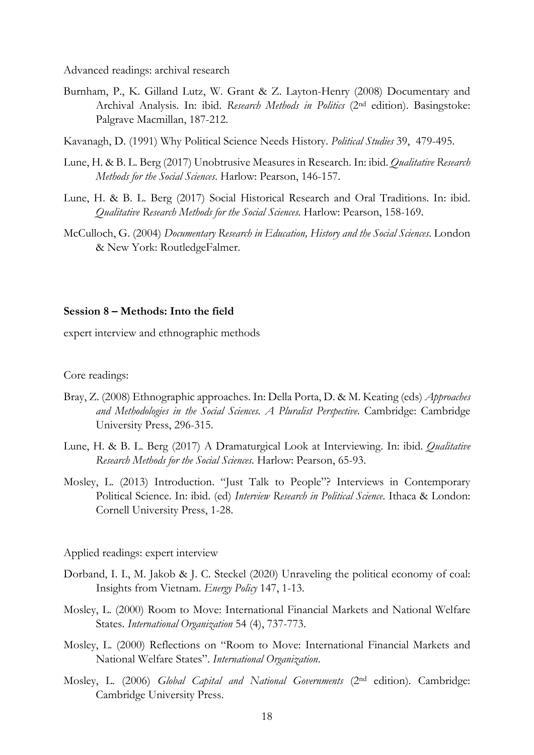Advanced readings: archival research

- Burnham, P., K. Gilland Lutz, W. Grant & Z. Layton-Henry (2008) Documentary and Archival Analysis. In: ibid. *Research Methods in Politics* (2nd edition). Basingstoke: Palgrave Macmillan, 187-212.
- Kavanagh, D. (1991) Why Political Science Needs History. *Political Studies* 39, 479-495.
- Lune, H. & B. L. Berg (2017) Unobtrusive Measures in Research. In: ibid. *Qualitative Research Methods for the Social Sciences*. Harlow: Pearson, 146-157.
- Lune, H. & B. L. Berg (2017) Social Historical Research and Oral Traditions. In: ibid. *Qualitative Research Methods for the Social Sciences*. Harlow: Pearson, 158-169.
- McCulloch, G. (2004) *Documentary Research in Education, History and the Social Sciences*. London & New York: RoutledgeFalmer.

#### **Session 8 – Methods: Into the field**

expert interview and ethnographic methods

Core readings:

- Bray, Z. (2008) Ethnographic approaches. In: Della Porta, D. & M. Keating (eds) *Approaches and Methodologies in the Social Sciences. A Pluralist Perspective*. Cambridge: Cambridge University Press, 296-315.
- Lune, H. & B. L. Berg (2017) A Dramaturgical Look at Interviewing. In: ibid. *Qualitative Research Methods for the Social Sciences*. Harlow: Pearson, 65-93.
- Mosley, L. (2013) Introduction. "Just Talk to People"? Interviews in Contemporary Political Science. In: ibid. (ed) *Interview Research in Political Science*. Ithaca & London: Cornell University Press, 1-28.

Applied readings: expert interview

- Dorband, I. I., M. Jakob & J. C. Steckel (2020) Unraveling the political economy of coal: Insights from Vietnam. *Energy Policy* 147, 1-13.
- Mosley, L. (2000) Room to Move: International Financial Markets and National Welfare States. *International Organization* 54 (4), 737-773.
- Mosley, L. (2000) Reflections on "Room to Move: International Financial Markets and National Welfare States". *International Organization*.
- Mosley, L. (2006) *Global Capital and National Governments* (2nd edition). Cambridge: Cambridge University Press.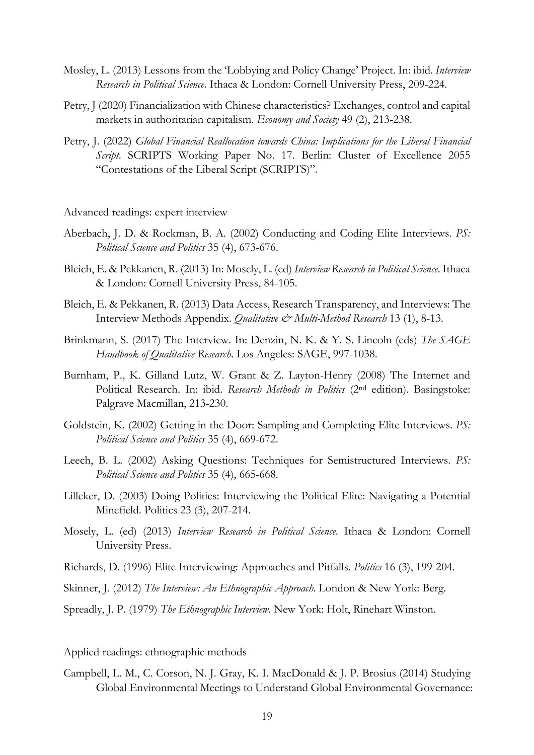- Mosley, L. (2013) Lessons from the 'Lobbying and Policy Change' Project. In: ibid. *Interview Research in Political Science*. Ithaca & London: Cornell University Press, 209-224.
- Petry, J (2020) Financialization with Chinese characteristics? Exchanges, control and capital markets in authoritarian capitalism. *Economy and Society* 49 (2), 213-238.
- Petry, J. (2022) *Global Financial Reallocation towards China: Implications for the Liberal Financial Script*. SCRIPTS Working Paper No. 17. Berlin: Cluster of Excellence 2055 "Contestations of the Liberal Script (SCRIPTS)".

Advanced readings: expert interview

- Aberbach, J. D. & Rockman, B. A. (2002) Conducting and Coding Elite Interviews. *PS: Political Science and Politics* 35 (4), 673-676.
- Bleich, E. & Pekkanen, R. (2013) In: Mosely, L. (ed) *Interview Research in Political Science*. Ithaca & London: Cornell University Press, 84-105.
- Bleich, E. & Pekkanen, R. (2013) Data Access, Research Transparency, and Interviews: The Interview Methods Appendix. *Qualitative & Multi-Method Research* 13 (1), 8-13.
- Brinkmann, S. (2017) The Interview. In: Denzin, N. K. & Y. S. Lincoln (eds) *The SAGE Handbook of Qualitative Research*. Los Angeles: SAGE, 997-1038.
- Burnham, P., K. Gilland Lutz, W. Grant & Z. Layton-Henry (2008) The Internet and Political Research. In: ibid. *Research Methods in Politics* (2nd edition). Basingstoke: Palgrave Macmillan, 213-230.
- Goldstein, K. (2002) Getting in the Door: Sampling and Completing Elite Interviews. *PS: Political Science and Politics* 35 (4), 669-672.
- Leech, B. L. (2002) Asking Questions: Techniques for Semistructured Interviews. *PS: Political Science and Politics* 35 (4), 665-668.
- Lilleker, D. (2003) Doing Politics: Interviewing the Political Elite: Navigating a Potential Minefield. Politics 23 (3), 207-214.
- Mosely, L. (ed) (2013) *Interview Research in Political Science*. Ithaca & London: Cornell University Press.
- Richards, D. (1996) Elite Interviewing: Approaches and Pitfalls. *Politics* 16 (3), 199-204.
- Skinner, J. (2012) *The Interview: An Ethnographic Approach*. London & New York: Berg.
- Spreadly, J. P. (1979) *The Ethnographic Interview*. New York: Holt, Rinehart Winston.

Applied readings: ethnographic methods

Campbell, L. M., C. Corson, N. J. Gray, K. I. MacDonald & J. P. Brosius (2014) Studying Global Environmental Meetings to Understand Global Environmental Governance: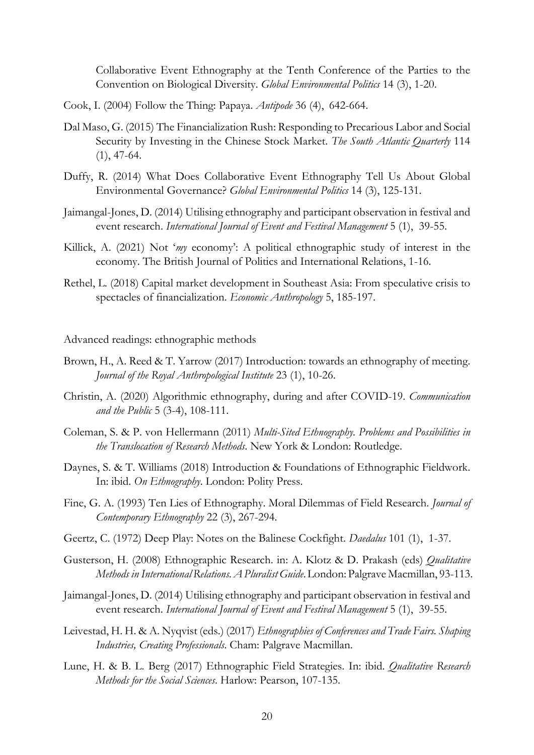Collaborative Event Ethnography at the Tenth Conference of the Parties to the Convention on Biological Diversity. *Global Environmental Politics* 14 (3), 1-20.

- Cook, I. (2004) Follow the Thing: Papaya. *Antipode* 36 (4), 642-664.
- Dal Maso, G. (2015) The Financialization Rush: Responding to Precarious Labor and Social Security by Investing in the Chinese Stock Market. *The South Atlantic Quarterly* 114 (1), 47-64.
- Duffy, R. (2014) What Does Collaborative Event Ethnography Tell Us About Global Environmental Governance? *Global Environmental Politics* 14 (3), 125-131.
- Jaimangal-Jones, D. (2014) Utilising ethnography and participant observation in festival and event research. *International Journal of Event and Festival Management* 5 (1), 39-55.
- Killick, A. (2021) Not '*my* economy': A political ethnographic study of interest in the economy. The British Journal of Politics and International Relations, 1-16.
- Rethel, L. (2018) Capital market development in Southeast Asia: From speculative crisis to spectacles of financialization. *Economic Anthropology* 5, 185-197.

Advanced readings: ethnographic methods

- Brown, H., A. Reed & T. Yarrow (2017) Introduction: towards an ethnography of meeting. *Journal of the Royal Anthropological Institute* 23 (1), 10-26.
- Christin, A. (2020) Algorithmic ethnography, during and after COVID-19. *Communication and the Public* 5 (3-4), 108-111.
- Coleman, S. & P. von Hellermann (2011) *Multi-Sited Ethnography. Problems and Possibilities in the Translocation of Research Methods*. New York & London: Routledge.
- Daynes, S. & T. Williams (2018) Introduction & Foundations of Ethnographic Fieldwork. In: ibid. *On Ethnography*. London: Polity Press.
- Fine, G. A. (1993) Ten Lies of Ethnography. Moral Dilemmas of Field Research. *Journal of Contemporary Ethnography* 22 (3), 267-294.
- Geertz, C. (1972) Deep Play: Notes on the Balinese Cockfight. *Daedalus* 101 (1), 1-37.
- Gusterson, H. (2008) Ethnographic Research. in: A. Klotz & D. Prakash (eds) *Qualitative Methods in InternationalRelations.A Pluralist Guide*.London: Palgrave Macmillan, 93-113.
- Jaimangal-Jones, D. (2014) Utilising ethnography and participant observation in festival and event research. *International Journal of Event and Festival Management* 5 (1), 39-55.
- Leivestad, H. H. & A. Nyqvist (eds.) (2017) *Ethnographies of Conferences and Trade Fairs. Shaping Industries, Creating Professionals*. Cham: Palgrave Macmillan.
- Lune, H. & B. L. Berg (2017) Ethnographic Field Strategies. In: ibid. *Qualitative Research Methods for the Social Sciences*. Harlow: Pearson, 107-135.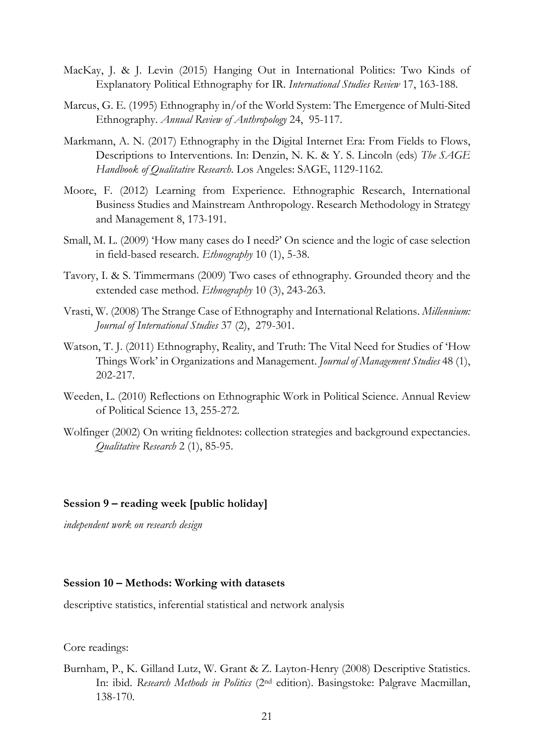- MacKay, J. & J. Levin (2015) Hanging Out in International Politics: Two Kinds of Explanatory Political Ethnography for IR. *International Studies Review* 17, 163-188.
- Marcus, G. E. (1995) Ethnography in/of the World System: The Emergence of Multi-Sited Ethnography. *Annual Review of Anthropology* 24, 95-117.
- Markmann, A. N. (2017) Ethnography in the Digital Internet Era: From Fields to Flows, Descriptions to Interventions. In: Denzin, N. K. & Y. S. Lincoln (eds) *The SAGE Handbook of Qualitative Research*. Los Angeles: SAGE, 1129-1162.
- Moore, F. (2012) Learning from Experience. Ethnographic Research, International Business Studies and Mainstream Anthropology. Research Methodology in Strategy and Management 8, 173-191.
- Small, M. L. (2009) 'How many cases do I need?' On science and the logic of case selection in field-based research. *Ethnography* 10 (1), 5-38.
- Tavory, I. & S. Timmermans (2009) Two cases of ethnography. Grounded theory and the extended case method. *Ethnography* 10 (3), 243-263.
- Vrasti, W. (2008) The Strange Case of Ethnography and International Relations. *Millennium: Journal of International Studies* 37 (2), 279-301.
- Watson, T. J. (2011) Ethnography, Reality, and Truth: The Vital Need for Studies of 'How Things Work' in Organizations and Management. *Journal of Management Studies* 48 (1), 202-217.
- Weeden, L. (2010) Reflections on Ethnographic Work in Political Science. Annual Review of Political Science 13, 255-272.
- Wolfinger (2002) On writing fieldnotes: collection strategies and background expectancies. *Qualitative Research* 2 (1), 85-95.

### **Session 9 – reading week [public holiday]**

*independent work on research design*

# **Session 10 – Methods: Working with datasets**

descriptive statistics, inferential statistical and network analysis

Core readings:

Burnham, P., K. Gilland Lutz, W. Grant & Z. Layton-Henry (2008) Descriptive Statistics. In: ibid. *Research Methods in Politics* (2nd edition). Basingstoke: Palgrave Macmillan, 138-170.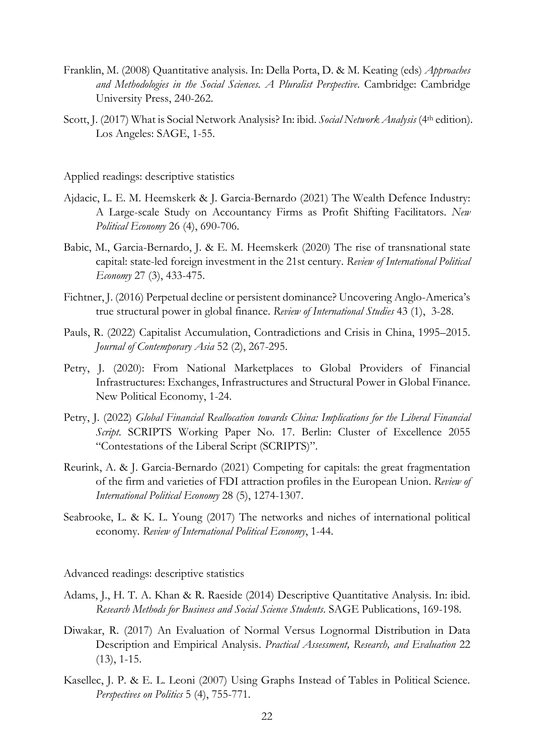- Franklin, M. (2008) Quantitative analysis. In: Della Porta, D. & M. Keating (eds) *Approaches and Methodologies in the Social Sciences. A Pluralist Perspective*. Cambridge: Cambridge University Press, 240-262.
- Scott, J. (2017) What is Social Network Analysis? In: ibid. *Social Network Analysis* (4th edition). Los Angeles: SAGE, 1-55.

Applied readings: descriptive statistics

- Ajdacic, L. E. M. Heemskerk & J. Garcia-Bernardo (2021) The Wealth Defence Industry: A Large-scale Study on Accountancy Firms as Profit Shifting Facilitators. *New Political Economy* 26 (4), 690-706.
- Babic, M., Garcia-Bernardo, J. & E. M. Heemskerk (2020) The rise of transnational state capital: state-led foreign investment in the 21st century. *Review of International Political Economy* 27 (3), 433-475.
- Fichtner, J. (2016) Perpetual decline or persistent dominance? Uncovering Anglo-America's true structural power in global finance. *Review of International Studies* 43 (1), 3-28.
- Pauls, R. (2022) Capitalist Accumulation, Contradictions and Crisis in China, 1995–2015. *Journal of Contemporary Asia* 52 (2), 267-295.
- Petry, J. (2020): From National Marketplaces to Global Providers of Financial Infrastructures: Exchanges, Infrastructures and Structural Power in Global Finance. New Political Economy, 1-24.
- Petry, J. (2022) *Global Financial Reallocation towards China: Implications for the Liberal Financial Script*. SCRIPTS Working Paper No. 17. Berlin: Cluster of Excellence 2055 "Contestations of the Liberal Script (SCRIPTS)".
- Reurink, A. & J. Garcia-Bernardo (2021) Competing for capitals: the great fragmentation of the firm and varieties of FDI attraction profiles in the European Union. *Review of International Political Economy* 28 (5), 1274-1307.
- Seabrooke, L. & K. L. Young (2017) The networks and niches of international political economy. *Review of International Political Economy*, 1-44.

Advanced readings: descriptive statistics

- Adams, J., H. T. A. Khan & R. Raeside (2014) Descriptive Quantitative Analysis. In: ibid. *Research Methods for Business and Social Science Students*. SAGE Publications, 169-198.
- Diwakar, R. (2017) An Evaluation of Normal Versus Lognormal Distribution in Data Description and Empirical Analysis. *Practical Assessment, Research, and Evaluation* 22 (13), 1-15.
- Kasellec, J. P. & E. L. Leoni (2007) Using Graphs Instead of Tables in Political Science. *Perspectives on Politics* 5 (4), 755-771.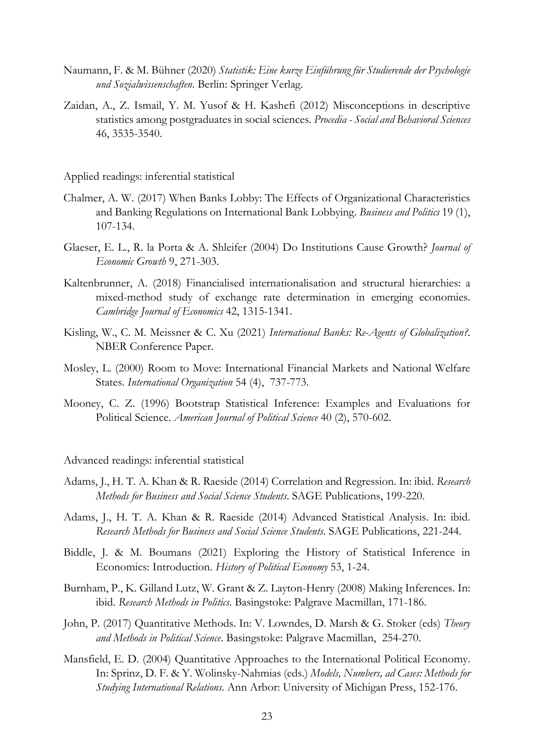- Naumann, F. & M. Bühner (2020) *Statistik: Eine kurze Einführung für Studierende der Psychologie und Sozialwissenschaften*. Berlin: Springer Verlag.
- Zaidan, A., Z. Ismail, Y. M. Yusof & H. Kashefi (2012) Misconceptions in descriptive statistics among postgraduates in social sciences. *Procedia - Social and Behavioral Sciences* 46, 3535-3540.

Applied readings: inferential statistical

- Chalmer, A. W. (2017) When Banks Lobby: The Effects of Organizational Characteristics and Banking Regulations on International Bank Lobbying. *Business and Politics* 19 (1), 107-134.
- Glaeser, E. L., R. la Porta & A. Shleifer (2004) Do Institutions Cause Growth? *Journal of Economic Growth* 9, 271-303.
- Kaltenbrunner, A. (2018) Financialised internationalisation and structural hierarchies: a mixed-method study of exchange rate determination in emerging economies. *Cambridge Journal of Economics* 42, 1315-1341.
- Kisling, W., C. M. Meissner & C. Xu (2021) *International Banks: Re-Agents of Globalization?*. NBER Conference Paper.
- Mosley, L. (2000) Room to Move: International Financial Markets and National Welfare States. *International Organization* 54 (4), 737-773.
- Mooney, C. Z. (1996) Bootstrap Statistical Inference: Examples and Evaluations for Political Science. *American Journal of Political Science* 40 (2), 570-602.

Advanced readings: inferential statistical

- Adams, J., H. T. A. Khan & R. Raeside (2014) Correlation and Regression. In: ibid. *Research Methods for Business and Social Science Students*. SAGE Publications, 199-220.
- Adams, J., H. T. A. Khan & R. Raeside (2014) Advanced Statistical Analysis. In: ibid. *Research Methods for Business and Social Science Students*. SAGE Publications, 221-244.
- Biddle, J. & M. Boumans (2021) Exploring the History of Statistical Inference in Economics: Introduction. *History of Political Economy* 53, 1-24.
- Burnham, P., K. Gilland Lutz, W. Grant & Z. Layton-Henry (2008) Making Inferences. In: ibid. *Research Methods in Politics*. Basingstoke: Palgrave Macmillan, 171-186.
- John, P. (2017) Quantitative Methods. In: V. Lowndes, D. Marsh & G. Stoker (eds) *Theory and Methods in Political Science*. Basingstoke: Palgrave Macmillan, 254-270.
- Mansfield, E. D. (2004) Quantitative Approaches to the International Political Economy. In: Sprinz, D. F. & Y. Wolinsky-Nahmias (eds.) *Models, Numbers, ad Cases: Methods for Studying International Relations*. Ann Arbor: University of Michigan Press, 152-176.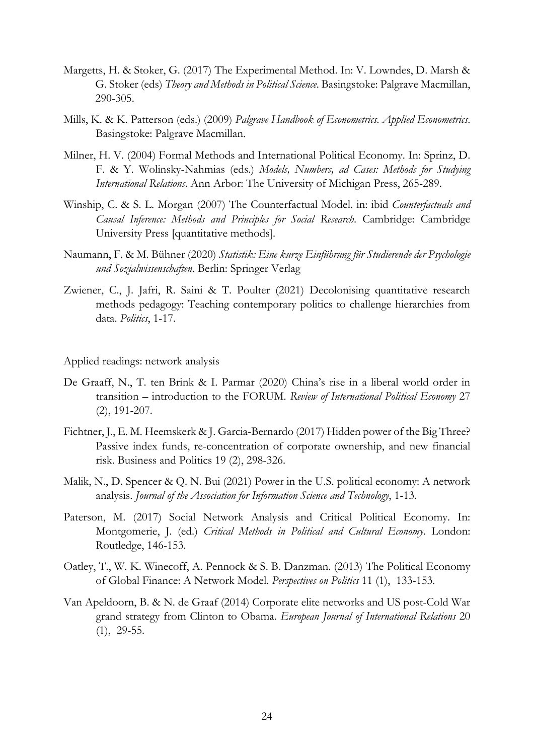- Margetts, H. & Stoker, G. (2017) The Experimental Method. In: V. Lowndes, D. Marsh & G. Stoker (eds) *Theory and Methods in Political Science*. Basingstoke: Palgrave Macmillan, 290-305.
- Mills, K. & K. Patterson (eds.) (2009) *Palgrave Handbook of Econometrics. Applied Econometrics*. Basingstoke: Palgrave Macmillan.
- Milner, H. V. (2004) Formal Methods and International Political Economy. In: Sprinz, D. F. & Y. Wolinsky-Nahmias (eds.) *Models, Numbers, ad Cases: Methods for Studying International Relations*. Ann Arbor: The University of Michigan Press, 265-289.
- Winship, C. & S. L. Morgan (2007) The Counterfactual Model. in: ibid *Counterfactuals and Causal Inference: Methods and Principles for Social Research*. Cambridge: Cambridge University Press [quantitative methods].
- Naumann, F. & M. Bühner (2020) *Statistik: Eine kurze Einführung für Studierende der Psychologie und Sozialwissenschaften*. Berlin: Springer Verlag
- Zwiener, C., J. Jafri, R. Saini & T. Poulter (2021) Decolonising quantitative research methods pedagogy: Teaching contemporary politics to challenge hierarchies from data. *Politics*, 1-17.

Applied readings: network analysis

- De Graaff, N., T. ten Brink & I. Parmar (2020) China's rise in a liberal world order in transition – introduction to the FORUM. *Review of International Political Economy* 27 (2), 191-207.
- Fichtner, J., E. M. Heemskerk & J. Garcia-Bernardo (2017) Hidden power of the Big Three? Passive index funds, re-concentration of corporate ownership, and new financial risk. Business and Politics 19 (2), 298-326.
- Malik, N., D. Spencer & Q. N. Bui (2021) Power in the U.S. political economy: A network analysis. *Journal of the Association for Information Science and Technology*, 1-13.
- Paterson, M. (2017) Social Network Analysis and Critical Political Economy. In: Montgomerie, J. (ed.) *Critical Methods in Political and Cultural Economy*. London: Routledge, 146-153.
- Oatley, T., W. K. Winecoff, A. Pennock & S. B. Danzman. (2013) The Political Economy of Global Finance: A Network Model. *Perspectives on Politics* 11 (1), 133-153.
- Van Apeldoorn, B. & N. de Graaf (2014) Corporate elite networks and US post-Cold War grand strategy from Clinton to Obama. *European Journal of International Relations* 20 (1), 29-55.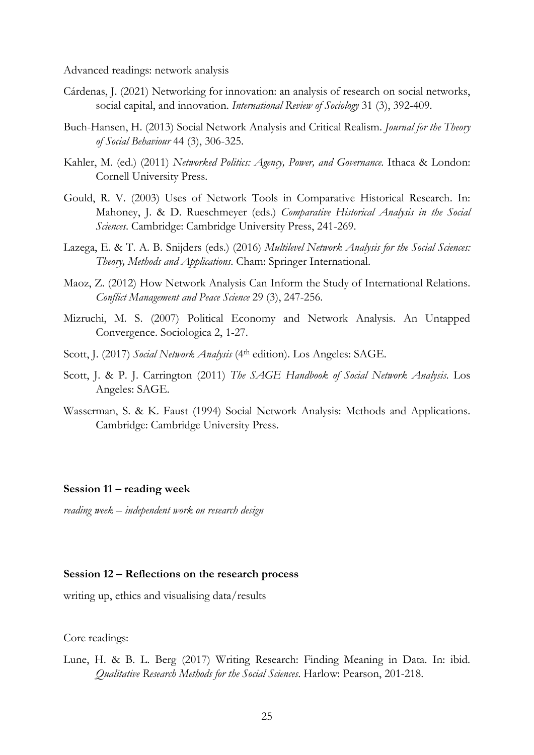Advanced readings: network analysis

- Cárdenas, J. (2021) Networking for innovation: an analysis of research on social networks, social capital, and innovation. *International Review of Sociology* 31 (3), 392-409.
- Buch-Hansen, H. (2013) Social Network Analysis and Critical Realism. *Journal for the Theory of Social Behaviour* 44 (3), 306-325.
- Kahler, M. (ed.) (2011) *Networked Politics: Agency, Power, and Governance*. Ithaca & London: Cornell University Press.
- Gould, R. V. (2003) Uses of Network Tools in Comparative Historical Research. In: Mahoney, J. & D. Rueschmeyer (eds.) *Comparative Historical Analysis in the Social Sciences*. Cambridge: Cambridge University Press, 241-269.
- Lazega, E. & T. A. B. Snijders (eds.) (2016) *Multilevel Network Analysis for the Social Sciences: Theory, Methods and Applications*. Cham: Springer International.
- Maoz, Z. (2012) How Network Analysis Can Inform the Study of International Relations. *Conflict Management and Peace Science* 29 (3), 247-256.
- Mizruchi, M. S. (2007) Political Economy and Network Analysis. An Untapped Convergence. Sociologica 2, 1-27.
- Scott, J. (2017) *Social Network Analysis* (4th edition). Los Angeles: SAGE.
- Scott, J. & P. J. Carrington (2011) *The SAGE Handbook of Social Network Analysis*. Los Angeles: SAGE.
- Wasserman, S. & K. Faust (1994) Social Network Analysis: Methods and Applications. Cambridge: Cambridge University Press.

#### **Session 11 – reading week**

*reading week – independent work on research design*

# **Session 12 – Reflections on the research process**

writing up, ethics and visualising data/results

Core readings:

Lune, H. & B. L. Berg (2017) Writing Research: Finding Meaning in Data. In: ibid. *Qualitative Research Methods for the Social Sciences*. Harlow: Pearson, 201-218.